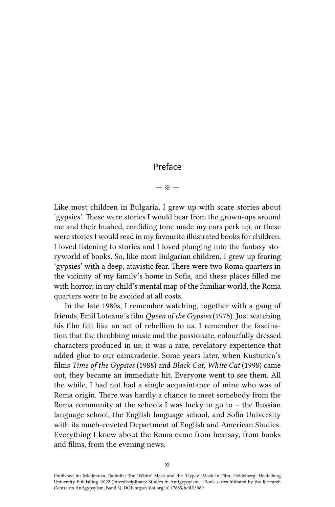## Preface

## — ※ —

Like most children in Bulgaria, I grew up with scare stories about 'gypsies'. These were stories I would hear from the grown-ups around me and their hushed, confiding tone made my ears perk up, or these were stories I would read in my favourite illustrated books for children. I loved listening to stories and I loved plunging into the fantasy storyworld of books. So, like most Bulgarian children, I grew up fearing 'gypsies' with a deep, atavistic fear. There were two Roma quarters in the vicinity of my family's home in Sofia, and these places filled me with horror; in my child's mental map of the familiar world, the Roma quarters were to be avoided at all costs.

In the late 1980s, I remember watching, together with a gang of friends, Emil Loteanu's film *Queen of the Gypsies* (1975). Just watching his film felt like an act of rebellion to us. I remember the fascination that the throbbing music and the passionate, colourfully dressed characters produced in us; it was a rare, revelatory experience that added glue to our camaraderie. Some years later, when Kusturica's films *Time of the Gypsies* (1988) and *Black Cat, White Cat* (1998) came out, they became an immediate hit. Everyone went to see them. All the while, I had not had a single acquaintance of mine who was of Roma origin. There was hardly a chance to meet somebody from the Roma community at the schools I was lucky to go to  $-$  the Russian language school, the English language school, and Sofia University with its much-coveted Department of English and American Studies. Everything I knew about the Roma came from hearsay, from books and films, from the evening news.

Published in: Mladenova, Radmila: The 'White' Mask and the 'Gypsy' Mask in Film, Heidelberg: Heidelberg University Publishing, 2022 (Interdisciplinary Studies in Antigypsyism – Book series initiated by the Research Centre on Antigypsyism, Band 3). DOI:<https://doi.org/10.17885/heiUP.989>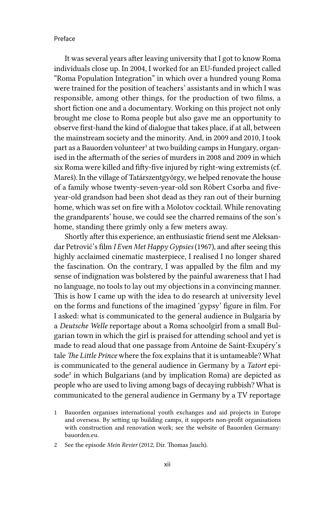## Preface

It was several years after leaving university that I got to know Roma individuals close up. In 2004, I worked for an EU-funded project called "Roma Population Integration" in which over a hundred young Roma were trained for the position of teachers' assistants and in which I was responsible, among other things, for the production of two films, a short fiction one and a documentary. Working on this project not only brought me close to Roma people but also gave me an opportunity to observe first-hand the kind of dialogue that takes place, if at all, between the mainstream society and the minority. And, in 2009 and 2010, I took part as a Bauorden volunteer<sup>1</sup> at two building camps in Hungary, organised in the aftermath of the series of murders in 2008 and 2009 in which six Roma were killed and fifty-five injured by right-wing extremists (cf. Mareš). In the village of Tatárszentgyörgy, we helped renovate the house of a family whose twenty-seven-year-old son Róbert Csorba and fiveyear-old grandson had been shot dead as they ran out of their burning home, which was set on fire with a Molotov cocktail. While renovating the grandparents' house, we could see the charred remains of the son's home, standing there grimly only a few meters away.

Shortly after this experience, an enthusiastic friend sent me Aleksandar Petrović's film *I Even Met Happy Gypsies* (1967), and after seeing this highly acclaimed cinematic masterpiece, I realised I no longer shared the fascination. On the contrary, I was appalled by the film and my sense of indignation was bolstered by the painful awareness that I had no language, no tools to lay out my objections in a convincing manner. This is how I came up with the idea to do research at university level on the forms and functions of the imagined 'gypsy' figure in film. For I asked: what is communicated to the general audience in Bulgaria by a *Deutsche Welle* reportage about a Roma schoolgirl from a small Bulgarian town in which the girl is praised for attending school and yet is made to read aloud that one passage from Antoine de Saint-Exupéry's tale *The Little Prince* where the fox explains that it is untameable? What is communicated to the general audience in Germany by a *Tatort* episode<sup>2</sup> in which Bulgarians (and by implication Roma) are depicted as people who are used to living among bags of decaying rubbish? What is communicated to the general audience in Germany by a TV reportage

<sup>1</sup> Bauorden organises international youth exchanges and aid projects in Europe and overseas. By setting up building camps, it supports non-profit organisations with construction and renovation work; see the website of Bauorden Germany: bauorden.eu.

<sup>2</sup> See the episode *Mein Revier* (2012, Dir. Thomas Jauch).